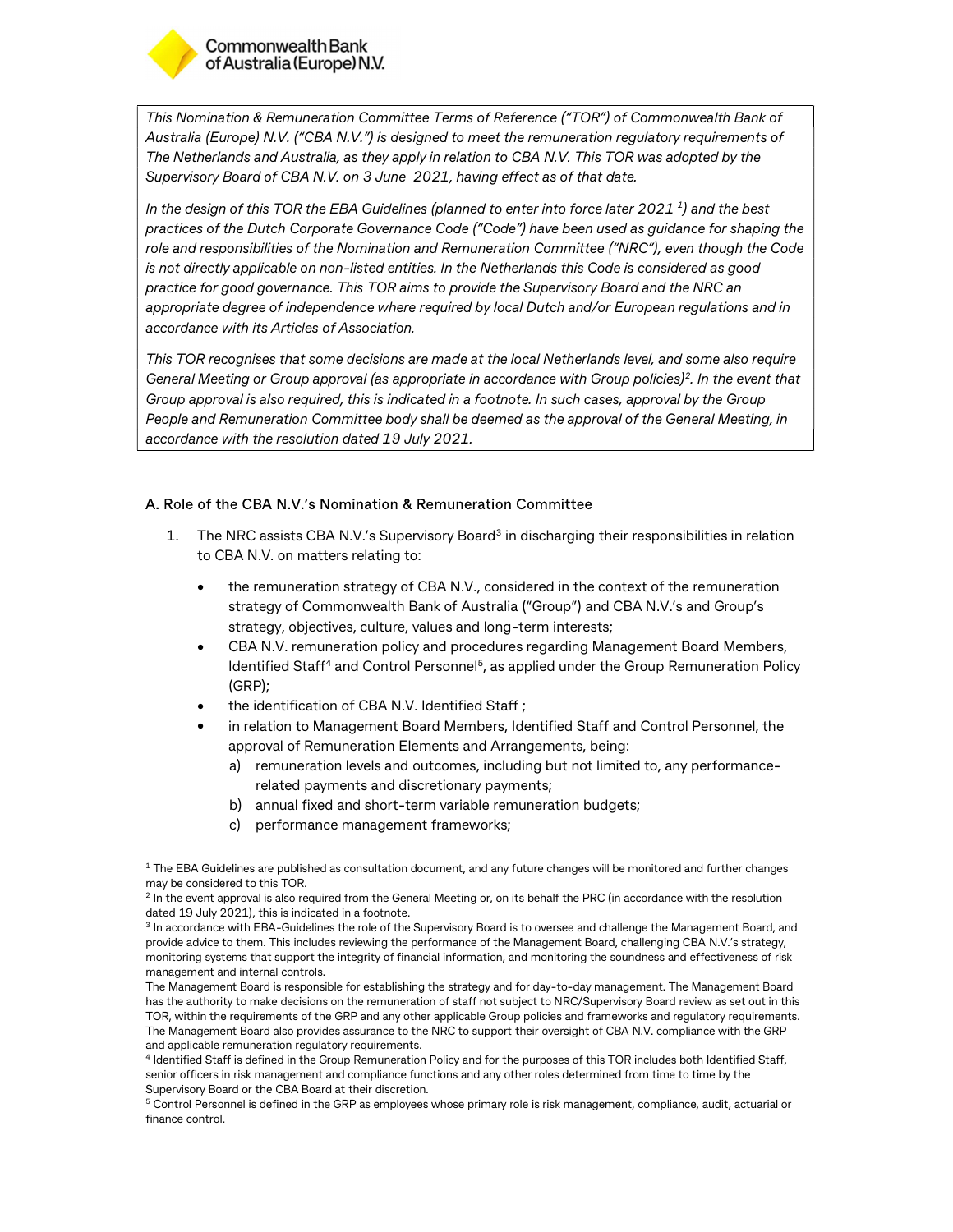

1

This Nomination & Remuneration Committee Terms of Reference ("TOR") of Commonwealth Bank of Australia (Europe) N.V. ("CBA N.V.") is designed to meet the remuneration regulatory requirements of The Netherlands and Australia, as they apply in relation to CBA N.V. This TOR was adopted by the Supervisory Board of CBA N.V. on 3 June 2021, having effect as of that date.

In the design of this TOR the EBA Guidelines (planned to enter into force later 2021  $^{\rm 1}$  ) and the best  $\hskip 1.5cm \Box$ practices of the Dutch Corporate Governance Code ("Code") have been used as guidance for shaping the role and responsibilities of the Nomination and Remuneration Committee ("NRC"), even though the Code is not directly applicable on non-listed entities. In the Netherlands this Code is considered as good practice for good governance. This TOR aims to provide the Supervisory Board and the NRC an appropriate degree of independence where required by local Dutch and/or European regulations and in accordance with its Articles of Association.

This TOR recognises that some decisions are made at the local Netherlands level, and some also require General Meeting or Group approval (as appropriate in accordance with Group policies)<sup>2</sup>. In the event that  $\; \; | \;$ Group approval is also required, this is indicated in a footnote. In such cases, approval by the Group People and Remuneration Committee body shall be deemed as the approval of the General Meeting, in accordance with the resolution dated 19 July 2021.

# A. Role of the CBA N.V.'s Nomination & Remuneration Committee

- 1. The NRC assists CBA N.V.'s Supervisory Board<sup>3</sup> in discharging their responsibilities in relation to CBA N.V. on matters relating to:
	- the remuneration strategy of CBA N.V., considered in the context of the remuneration strategy of Commonwealth Bank of Australia ("Group") and CBA N.V.'s and Group's strategy, objectives, culture, values and long-term interests;
	- CBA N.V. remuneration policy and procedures regarding Management Board Members, ldentified Staff<sup>4</sup> and Control Personnel<sup>5</sup>, as applied under the Group Remuneration Policy (GRP);
	- the identification of CBA N.V. Identified Staff ;
	- in relation to Management Board Members, Identified Staff and Control Personnel, the approval of Remuneration Elements and Arrangements, being:
		- a) remuneration levels and outcomes, including but not limited to, any performancerelated payments and discretionary payments;
		- b) annual fixed and short-term variable remuneration budgets;
		- c) performance management frameworks;

 $1$  The EBA Guidelines are published as consultation document, and any future changes will be monitored and further changes may be considered to this TOR.

 $2$  In the event approval is also required from the General Meeting or, on its behalf the PRC (in accordance with the resolution dated 19 July 2021), this is indicated in a footnote.

<sup>&</sup>lt;sup>3</sup> In accordance with EBA-Guidelines the role of the Supervisory Board is to oversee and challenge the Management Board, and provide advice to them. This includes reviewing the performance of the Management Board, challenging CBA N.V.'s strategy, monitoring systems that support the integrity of financial information, and monitoring the soundness and effectiveness of risk management and internal controls.

The Management Board is responsible for establishing the strategy and for day-to-day management. The Management Board has the authority to make decisions on the remuneration of staff not subject to NRC/Supervisory Board review as set out in this TOR, within the requirements of the GRP and any other applicable Group policies and frameworks and regulatory requirements. The Management Board also provides assurance to the NRC to support their oversight of CBA N.V. compliance with the GRP and applicable remuneration regulatory requirements.

<sup>4</sup> Identified Staff is defined in the Group Remuneration Policy and for the purposes of this TOR includes both Identified Staff, senior officers in risk management and compliance functions and any other roles determined from time to time by the Supervisory Board or the CBA Board at their discretion.

<sup>&</sup>lt;sup>5</sup> Control Personnel is defined in the GRP as employees whose primary role is risk management, compliance, audit, actuarial or finance control.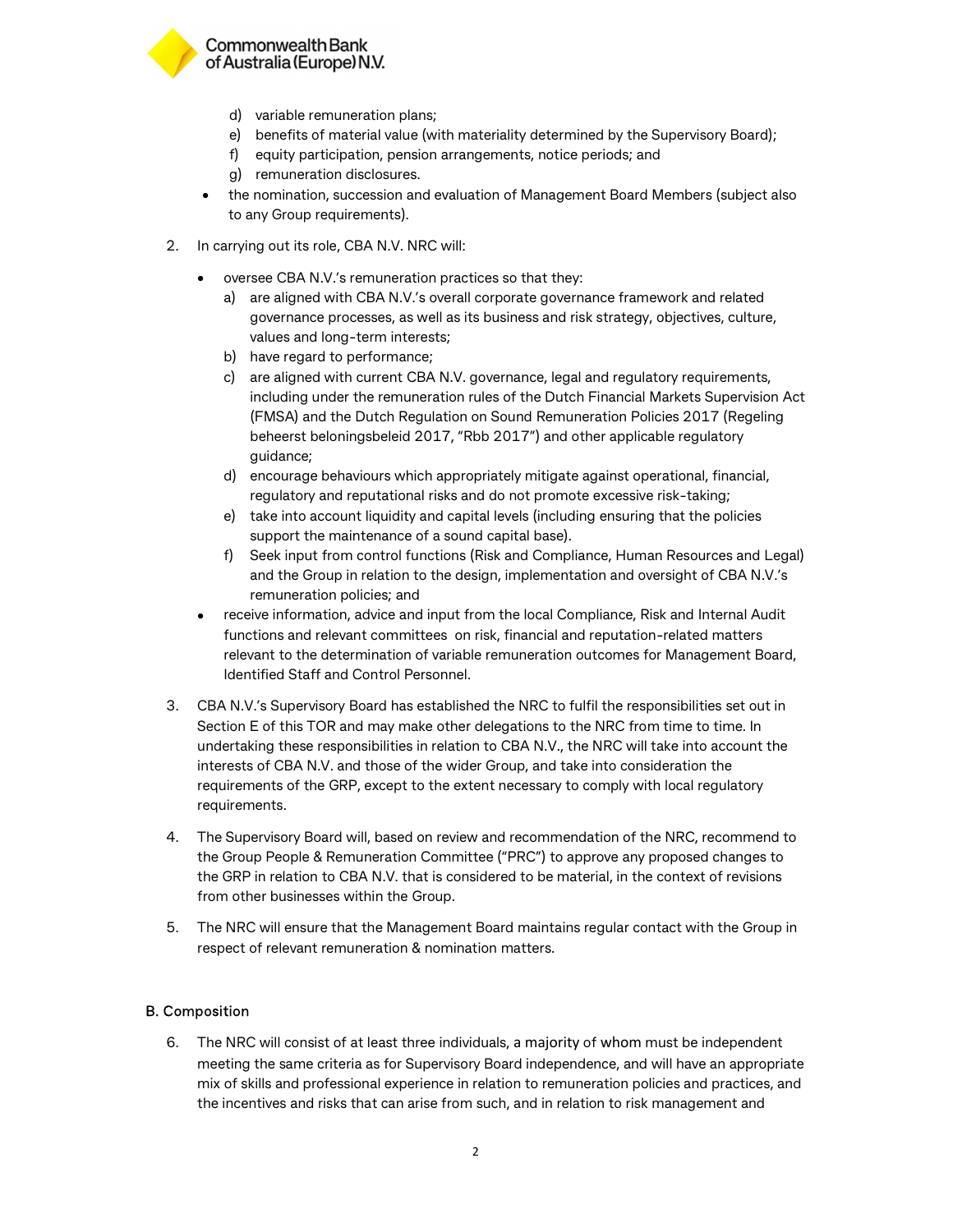

# **Commonwealth Bank** of Australia (Europe) N.V.

- d) variable remuneration plans;
- e) benefits of material value (with materiality determined by the Supervisory Board);
- f) equity participation, pension arrangements, notice periods; and
- g) remuneration disclosures.
- the nomination, succession and evaluation of Management Board Members (subject also to any Group requirements).
- 2. In carrying out its role, CBA N.V. NRC will:
	- oversee CBA N.V.'s remuneration practices so that they:
		- a) are aligned with CBA N.V.'s overall corporate governance framework and related governance processes, as well as its business and risk strategy, objectives, culture, values and long-term interests;
		- b) have regard to performance;
		- c) are aligned with current CBA N.V. governance, legal and regulatory requirements, including under the remuneration rules of the Dutch Financial Markets Supervision Act (FMSA) and the Dutch Regulation on Sound Remuneration Policies 2017 (Regeling beheerst beloningsbeleid 2017, "Rbb 2017") and other applicable regulatory guidance;
		- d) encourage behaviours which appropriately mitigate against operational, financial, regulatory and reputational risks and do not promote excessive risk-taking;
		- e) take into account liquidity and capital levels (including ensuring that the policies support the maintenance of a sound capital base).
		- f) Seek input from control functions (Risk and Compliance, Human Resources and Legal) and the Group in relation to the design, implementation and oversight of CBA N.V.'s remuneration policies; and
	- receive information, advice and input from the local Compliance, Risk and Internal Audit functions and relevant committees on risk, financial and reputation-related matters relevant to the determination of variable remuneration outcomes for Management Board, Identified Staff and Control Personnel.
- 3. CBA N.V.'s Supervisory Board has established the NRC to fulfil the responsibilities set out in Section E of this TOR and may make other delegations to the NRC from time to time. In undertaking these responsibilities in relation to CBA N.V., the NRC will take into account the interests of CBA N.V. and those of the wider Group, and take into consideration the requirements of the GRP, except to the extent necessary to comply with local regulatory requirements.
- 4. The Supervisory Board will, based on review and recommendation of the NRC, recommend to the Group People & Remuneration Committee ("PRC") to approve any proposed changes to the GRP in relation to CBA N.V. that is considered to be material, in the context of revisions from other businesses within the Group.
- 5. The NRC will ensure that the Management Board maintains regular contact with the Group in respect of relevant remuneration & nomination matters.

# B. Composition

6. The NRC will consist of at least three individuals, a majority of whom must be independent meeting the same criteria as for Supervisory Board independence, and will have an appropriate mix of skills and professional experience in relation to remuneration policies and practices, and the incentives and risks that can arise from such, and in relation to risk management and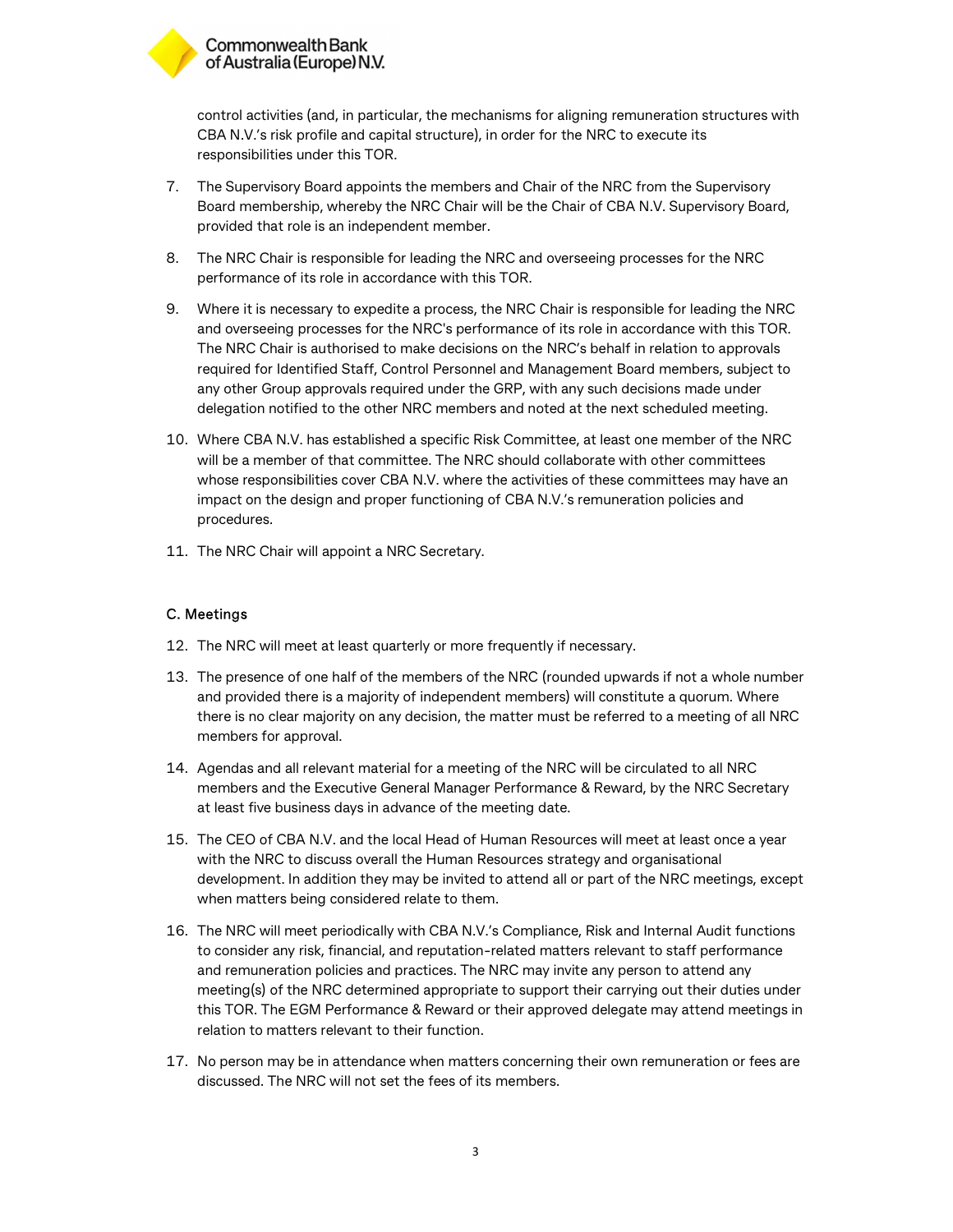

control activities (and, in particular, the mechanisms for aligning remuneration structures with CBA N.V.'s risk profile and capital structure), in order for the NRC to execute its responsibilities under this TOR.

- 7. The Supervisory Board appoints the members and Chair of the NRC from the Supervisory Board membership, whereby the NRC Chair will be the Chair of CBA N.V. Supervisory Board, provided that role is an independent member.
- 8. The NRC Chair is responsible for leading the NRC and overseeing processes for the NRC performance of its role in accordance with this TOR.
- 9. Where it is necessary to expedite a process, the NRC Chair is responsible for leading the NRC and overseeing processes for the NRC's performance of its role in accordance with this TOR. The NRC Chair is authorised to make decisions on the NRC's behalf in relation to approvals required for Identified Staff, Control Personnel and Management Board members, subject to any other Group approvals required under the GRP, with any such decisions made under delegation notified to the other NRC members and noted at the next scheduled meeting.
- 10. Where CBA N.V. has established a specific Risk Committee, at least one member of the NRC will be a member of that committee. The NRC should collaborate with other committees whose responsibilities cover CBA N.V. where the activities of these committees may have an impact on the design and proper functioning of CBA N.V.'s remuneration policies and procedures.
- 11. The NRC Chair will appoint a NRC Secretary.

## C. Meetings

- 12. The NRC will meet at least quarterly or more frequently if necessary.
- 13. The presence of one half of the members of the NRC (rounded upwards if not a whole number and provided there is a majority of independent members) will constitute a quorum. Where there is no clear majority on any decision, the matter must be referred to a meeting of all NRC members for approval.
- 14. Agendas and all relevant material for a meeting of the NRC will be circulated to all NRC members and the Executive General Manager Performance & Reward, by the NRC Secretary at least five business days in advance of the meeting date.
- 15. The CEO of CBA N.V. and the local Head of Human Resources will meet at least once a year with the NRC to discuss overall the Human Resources strategy and organisational development. In addition they may be invited to attend all or part of the NRC meetings, except when matters being considered relate to them.
- 16. The NRC will meet periodically with CBA N.V.'s Compliance, Risk and Internal Audit functions to consider any risk, financial, and reputation-related matters relevant to staff performance and remuneration policies and practices. The NRC may invite any person to attend any meeting(s) of the NRC determined appropriate to support their carrying out their duties under this TOR. The EGM Performance & Reward or their approved delegate may attend meetings in relation to matters relevant to their function.
- 17. No person may be in attendance when matters concerning their own remuneration or fees are discussed. The NRC will not set the fees of its members.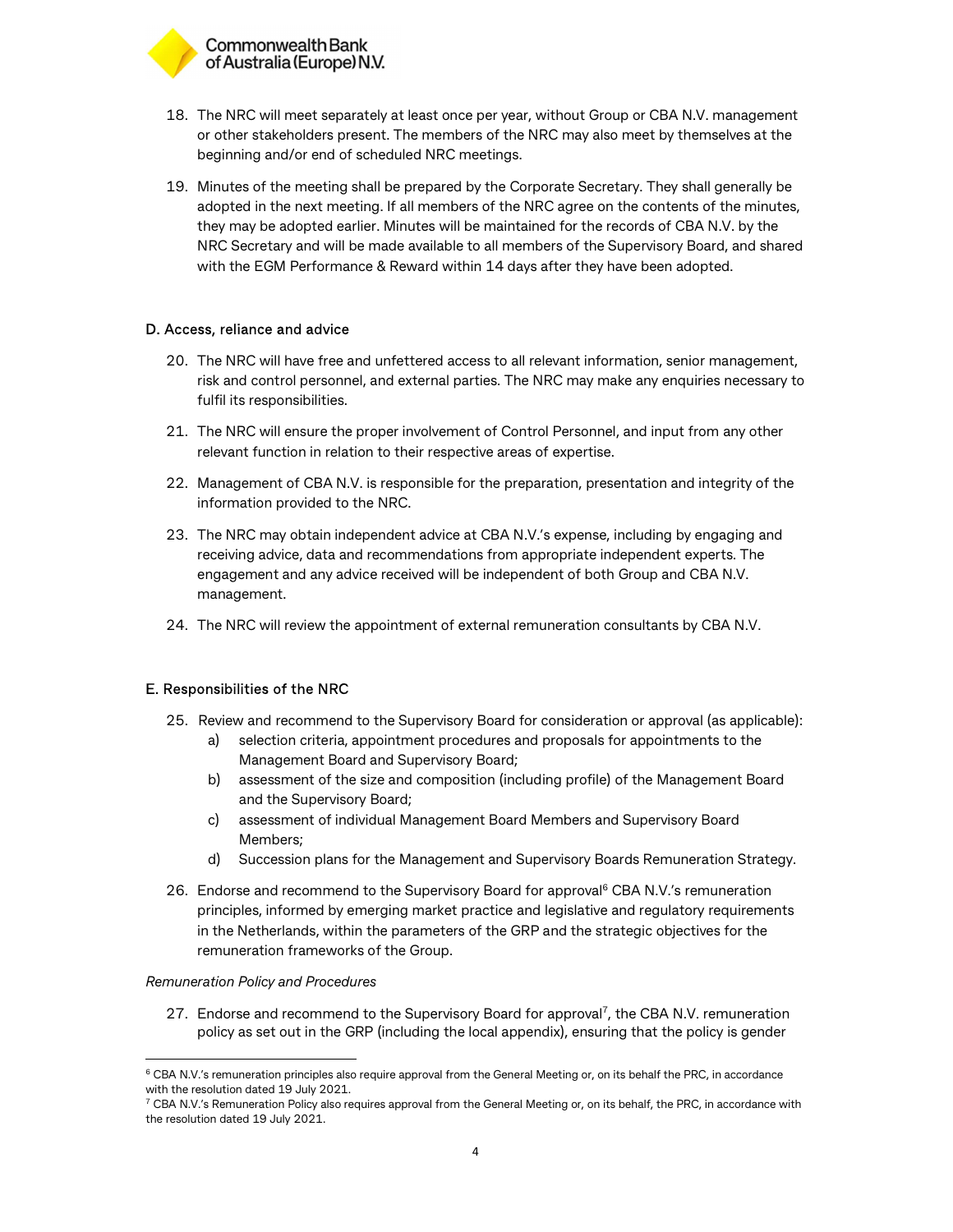

- 18. The NRC will meet separately at least once per year, without Group or CBA N.V. management or other stakeholders present. The members of the NRC may also meet by themselves at the beginning and/or end of scheduled NRC meetings.
- 19. Minutes of the meeting shall be prepared by the Corporate Secretary. They shall generally be adopted in the next meeting. If all members of the NRC agree on the contents of the minutes, they may be adopted earlier. Minutes will be maintained for the records of CBA N.V. by the NRC Secretary and will be made available to all members of the Supervisory Board, and shared with the EGM Performance & Reward within 14 days after they have been adopted.

## D. Access, reliance and advice

- 20. The NRC will have free and unfettered access to all relevant information, senior management, risk and control personnel, and external parties. The NRC may make any enquiries necessary to fulfil its responsibilities.
- 21. The NRC will ensure the proper involvement of Control Personnel, and input from any other relevant function in relation to their respective areas of expertise.
- 22. Management of CBA N.V. is responsible for the preparation, presentation and integrity of the information provided to the NRC.
- 23. The NRC may obtain independent advice at CBA N.V.'s expense, including by engaging and receiving advice, data and recommendations from appropriate independent experts. The engagement and any advice received will be independent of both Group and CBA N.V. management.
- 24. The NRC will review the appointment of external remuneration consultants by CBA N.V.

# E. Responsibilities of the NRC

- 25. Review and recommend to the Supervisory Board for consideration or approval (as applicable):
	- a) selection criteria, appointment procedures and proposals for appointments to the Management Board and Supervisory Board;
	- b) assessment of the size and composition (including profile) of the Management Board and the Supervisory Board;
	- c) assessment of individual Management Board Members and Supervisory Board Members;
	- d) Succession plans for the Management and Supervisory Boards Remuneration Strategy.
- 26. Endorse and recommend to the Supervisory Board for approval<sup>6</sup> CBA N.V.'s remuneration principles, informed by emerging market practice and legislative and regulatory requirements in the Netherlands, within the parameters of the GRP and the strategic objectives for the remuneration frameworks of the Group.

#### Remuneration Policy and Procedures

-

27. Endorse and recommend to the Supervisory Board for approval<sup>7</sup>, the CBA N.V. remuneration policy as set out in the GRP (including the local appendix), ensuring that the policy is gender

 $6$  CBA N.V.'s remuneration principles also require approval from the General Meeting or, on its behalf the PRC, in accordance with the resolution dated 19 July 2021.

 $7$  CBA N.V.'s Remuneration Policy also requires approval from the General Meeting or, on its behalf, the PRC, in accordance with the resolution dated 19 July 2021.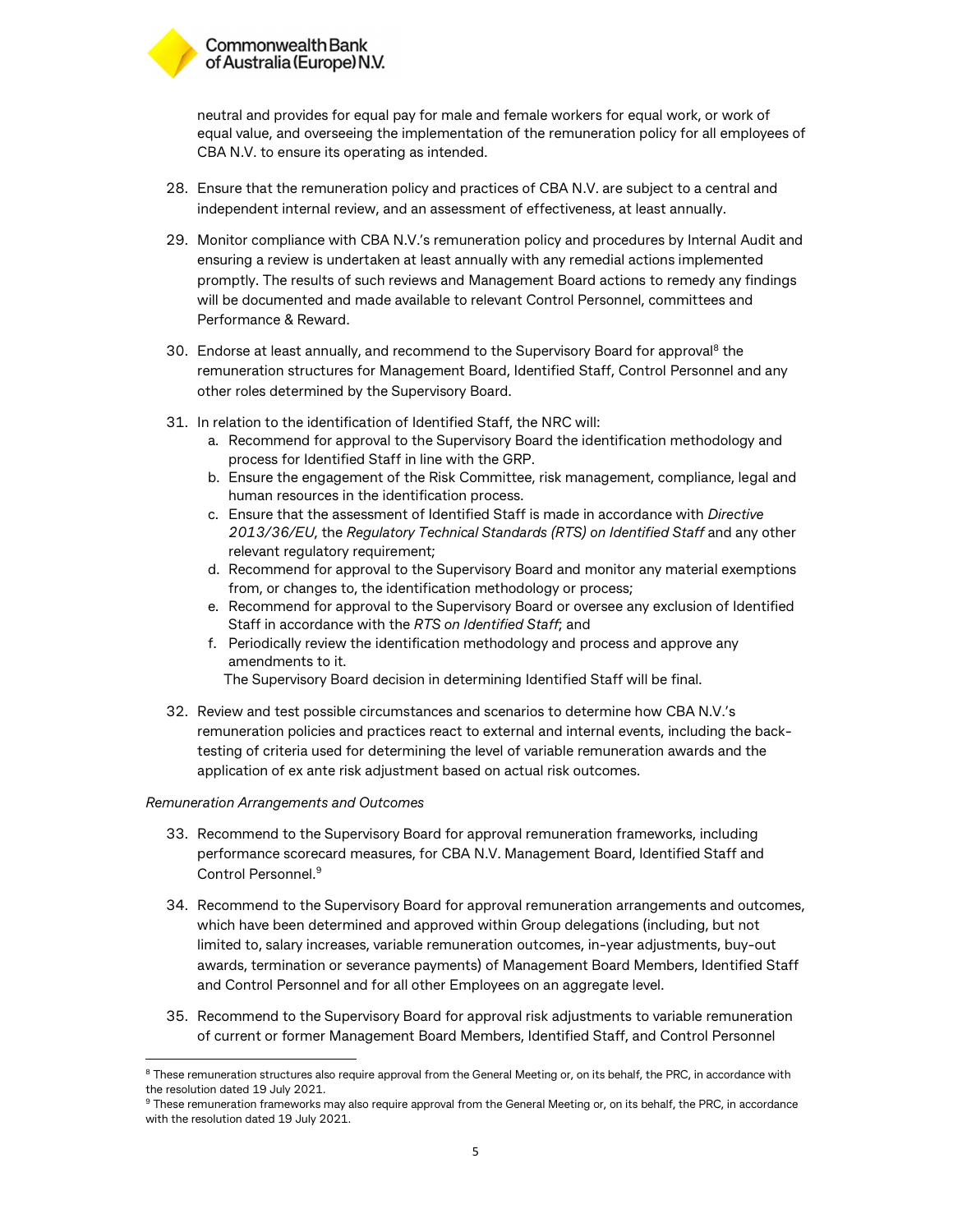

neutral and provides for equal pay for male and female workers for equal work, or work of equal value, and overseeing the implementation of the remuneration policy for all employees of CBA N.V. to ensure its operating as intended.

- 28. Ensure that the remuneration policy and practices of CBA N.V. are subject to a central and independent internal review, and an assessment of effectiveness, at least annually.
- 29. Monitor compliance with CBA N.V.'s remuneration policy and procedures by Internal Audit and ensuring a review is undertaken at least annually with any remedial actions implemented promptly. The results of such reviews and Management Board actions to remedy any findings will be documented and made available to relevant Control Personnel, committees and Performance & Reward.
- 30. Endorse at least annually, and recommend to the Supervisory Board for approval<sup>8</sup> the remuneration structures for Management Board, Identified Staff, Control Personnel and any other roles determined by the Supervisory Board.
- 31. In relation to the identification of Identified Staff, the NRC will:
	- a. Recommend for approval to the Supervisory Board the identification methodology and process for Identified Staff in line with the GRP.
	- b. Ensure the engagement of the Risk Committee, risk management, compliance, legal and human resources in the identification process.
	- c. Ensure that the assessment of Identified Staff is made in accordance with Directive 2013/36/EU, the Regulatory Technical Standards (RTS) on Identified Staff and any other relevant regulatory requirement;
	- d. Recommend for approval to the Supervisory Board and monitor any material exemptions from, or changes to, the identification methodology or process;
	- e. Recommend for approval to the Supervisory Board or oversee any exclusion of Identified Staff in accordance with the RTS on Identified Staff; and
	- f. Periodically review the identification methodology and process and approve any amendments to it.

The Supervisory Board decision in determining Identified Staff will be final.

32. Review and test possible circumstances and scenarios to determine how CBA N.V.'s remuneration policies and practices react to external and internal events, including the backtesting of criteria used for determining the level of variable remuneration awards and the application of ex ante risk adjustment based on actual risk outcomes.

#### Remuneration Arrangements and Outcomes

-

- 33. Recommend to the Supervisory Board for approval remuneration frameworks, including performance scorecard measures, for CBA N.V. Management Board, Identified Staff and Control Personnel.<sup>9</sup>
- 34. Recommend to the Supervisory Board for approval remuneration arrangements and outcomes, which have been determined and approved within Group delegations (including, but not limited to, salary increases, variable remuneration outcomes, in-year adjustments, buy-out awards, termination or severance payments) of Management Board Members, Identified Staff and Control Personnel and for all other Employees on an aggregate level.
- 35. Recommend to the Supervisory Board for approval risk adjustments to variable remuneration of current or former Management Board Members, Identified Staff, and Control Personnel

 $8$  These remuneration structures also require approval from the General Meeting or, on its behalf, the PRC, in accordance with the resolution dated 19 July 2021.

<sup>&</sup>lt;sup>9</sup> These remuneration frameworks may also require approval from the General Meeting or, on its behalf, the PRC, in accordance with the resolution dated 19 July 2021.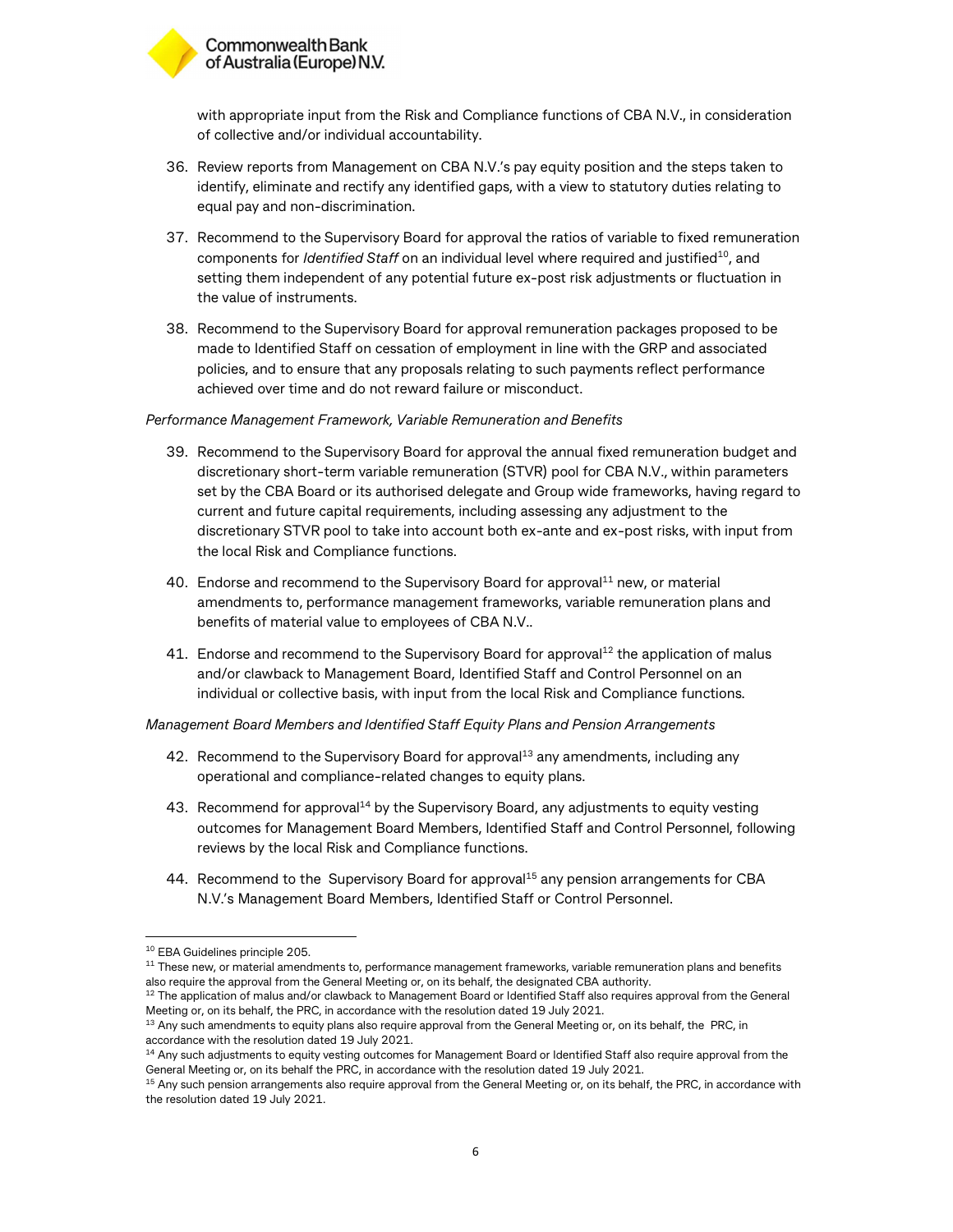# Commonwealth Bank of Australia (Europe) N.V.

with appropriate input from the Risk and Compliance functions of CBA N.V., in consideration of collective and/or individual accountability.

- 36. Review reports from Management on CBA N.V.'s pay equity position and the steps taken to identify, eliminate and rectify any identified gaps, with a view to statutory duties relating to equal pay and non-discrimination.
- 37. Recommend to the Supervisory Board for approval the ratios of variable to fixed remuneration components for *Identified Staff* on an individual level where required and justified<sup>10</sup>, and setting them independent of any potential future ex-post risk adjustments or fluctuation in the value of instruments.
- 38. Recommend to the Supervisory Board for approval remuneration packages proposed to be made to Identified Staff on cessation of employment in line with the GRP and associated policies, and to ensure that any proposals relating to such payments reflect performance achieved over time and do not reward failure or misconduct.

## Performance Management Framework, Variable Remuneration and Benefits

- 39. Recommend to the Supervisory Board for approval the annual fixed remuneration budget and discretionary short-term variable remuneration (STVR) pool for CBA N.V., within parameters set by the CBA Board or its authorised delegate and Group wide frameworks, having regard to current and future capital requirements, including assessing any adjustment to the discretionary STVR pool to take into account both ex-ante and ex-post risks, with input from the local Risk and Compliance functions.
- 40. Endorse and recommend to the Supervisory Board for approval<sup>11</sup> new, or material amendments to, performance management frameworks, variable remuneration plans and benefits of material value to employees of CBA N.V..
- 41. Endorse and recommend to the Supervisory Board for approval<sup>12</sup> the application of malus and/or clawback to Management Board, Identified Staff and Control Personnel on an individual or collective basis, with input from the local Risk and Compliance functions.

Management Board Members and Identified Staff Equity Plans and Pension Arrangements

- 42. Recommend to the Supervisory Board for approval<sup>13</sup> any amendments, including any operational and compliance-related changes to equity plans.
- 43. Recommend for approval<sup>14</sup> by the Supervisory Board, any adjustments to equity vesting outcomes for Management Board Members, Identified Staff and Control Personnel, following reviews by the local Risk and Compliance functions.
- 44. Recommend to the Supervisory Board for approval<sup>15</sup> any pension arrangements for CBA N.V.'s Management Board Members, Identified Staff or Control Personnel.

1

<sup>10</sup> EBA Guidelines principle 205.

 $11$  These new, or material amendments to, performance management frameworks, variable remuneration plans and benefits also require the approval from the General Meeting or, on its behalf, the designated CBA authority.

 $12$  The application of malus and/or clawback to Management Board or Identified Staff also requires approval from the General Meeting or, on its behalf, the PRC, in accordance with the resolution dated 19 July 2021.

<sup>&</sup>lt;sup>13</sup> Any such amendments to equity plans also require approval from the General Meeting or, on its behalf, the PRC, in accordance with the resolution dated 19 July 2021.

<sup>&</sup>lt;sup>14</sup> Any such adjustments to equity vesting outcomes for Management Board or Identified Staff also require approval from the General Meeting or, on its behalf the PRC, in accordance with the resolution dated 19 July 2021.

<sup>&</sup>lt;sup>15</sup> Any such pension arrangements also require approval from the General Meeting or, on its behalf, the PRC, in accordance with the resolution dated 19 July 2021.